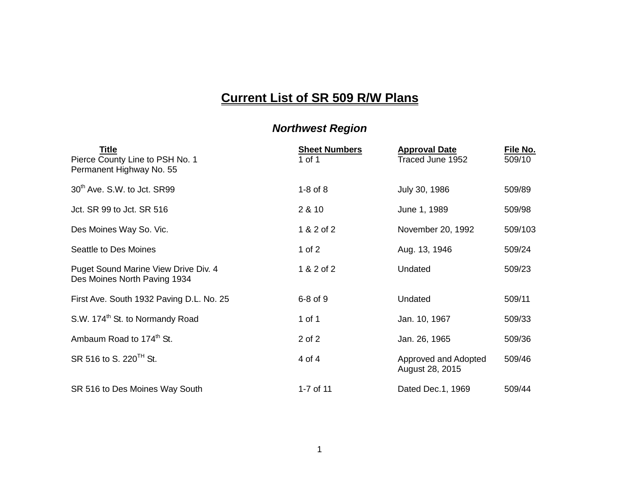## **Current List of SR 509 R/W Plans**

## *Northwest Region*

| <u>Title</u><br>Pierce County Line to PSH No. 1<br>Permanent Highway No. 55 | <b>Sheet Numbers</b><br>1 of 1 | <b>Approval Date</b><br>Traced June 1952 | <u>File No.</u><br>509/10 |
|-----------------------------------------------------------------------------|--------------------------------|------------------------------------------|---------------------------|
| 30 <sup>th</sup> Ave. S.W. to Jct. SR99                                     | $1-8$ of $8$                   | July 30, 1986                            | 509/89                    |
| Jct. SR 99 to Jct. SR 516                                                   | 2 & 10                         | June 1, 1989                             | 509/98                    |
| Des Moines Way So. Vic.                                                     | 1 & 2 of 2                     | November 20, 1992                        | 509/103                   |
| Seattle to Des Moines                                                       | 1 of $2$                       | Aug. 13, 1946                            | 509/24                    |
| Puget Sound Marine View Drive Div. 4<br>Des Moines North Paving 1934        | 1 & 2 of 2                     | Undated                                  | 509/23                    |
| First Ave. South 1932 Paving D.L. No. 25                                    | $6-8$ of $9$                   | Undated                                  | 509/11                    |
| S.W. 174 <sup>th</sup> St. to Normandy Road                                 | 1 of 1                         | Jan. 10, 1967                            | 509/33                    |
| Ambaum Road to 174 <sup>th</sup> St.                                        | 2 of 2                         | Jan. 26, 1965                            | 509/36                    |
| SR 516 to S. 220 <sup>TH</sup> St.                                          | 4 of 4                         | Approved and Adopted<br>August 28, 2015  | 509/46                    |
| SR 516 to Des Moines Way South                                              | 1-7 of 11                      | Dated Dec.1, 1969                        | 509/44                    |